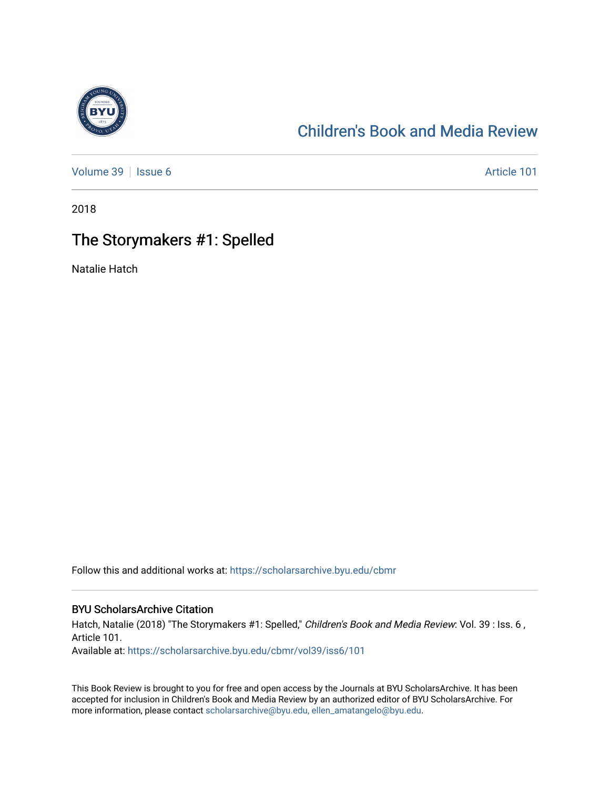

## [Children's Book and Media Review](https://scholarsarchive.byu.edu/cbmr)

[Volume 39](https://scholarsarchive.byu.edu/cbmr/vol39) | [Issue 6](https://scholarsarchive.byu.edu/cbmr/vol39/iss6) Article 101

2018

## The Storymakers #1: Spelled

Natalie Hatch

Follow this and additional works at: [https://scholarsarchive.byu.edu/cbmr](https://scholarsarchive.byu.edu/cbmr?utm_source=scholarsarchive.byu.edu%2Fcbmr%2Fvol39%2Fiss6%2F101&utm_medium=PDF&utm_campaign=PDFCoverPages) 

#### BYU ScholarsArchive Citation

Hatch, Natalie (2018) "The Storymakers #1: Spelled," Children's Book and Media Review: Vol. 39 : Iss. 6, Article 101.

Available at: [https://scholarsarchive.byu.edu/cbmr/vol39/iss6/101](https://scholarsarchive.byu.edu/cbmr/vol39/iss6/101?utm_source=scholarsarchive.byu.edu%2Fcbmr%2Fvol39%2Fiss6%2F101&utm_medium=PDF&utm_campaign=PDFCoverPages) 

This Book Review is brought to you for free and open access by the Journals at BYU ScholarsArchive. It has been accepted for inclusion in Children's Book and Media Review by an authorized editor of BYU ScholarsArchive. For more information, please contact [scholarsarchive@byu.edu, ellen\\_amatangelo@byu.edu.](mailto:scholarsarchive@byu.edu,%20ellen_amatangelo@byu.edu)